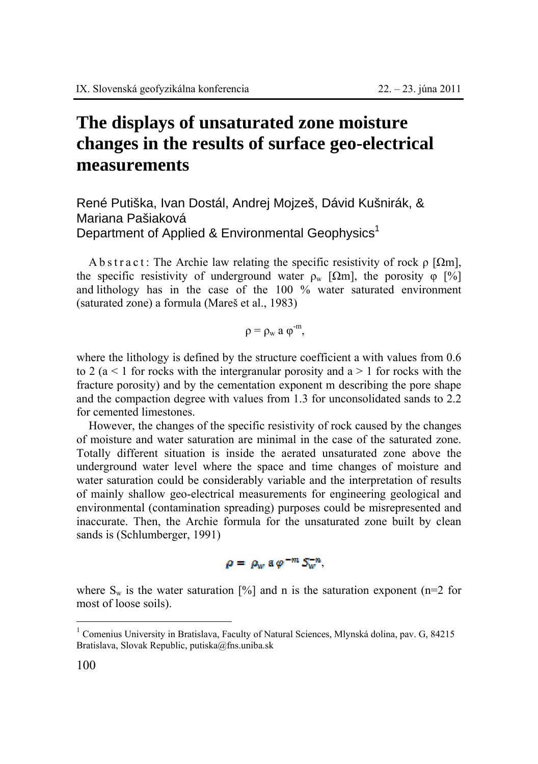## **The displays of unsaturated zone moisture changes in the results of surface geo-electrical measurements**

René Putiška, Ivan Dostál, Andrej Mojzeš, Dávid Kušnirák, & Mariana Pašiaková Department of Applied & Environmental Geophysics<sup>1</sup>

A b s t r a c t : The Archie law relating the specific resistivity of rock  $\rho$  [ $\Omega$ m], the specific resistivity of underground water  $\rho_w$  [ $\Omega$ m], the porosity  $\varphi$  [%] and lithology has in the case of the 100 % water saturated environment (saturated zone) a formula (Mareš et al., 1983)

$$
\rho=\rho_w\ a\ \phi^{-m},
$$

where the lithology is defined by the structure coefficient a with values from 0.6 to 2 ( $a < 1$  for rocks with the intergranular porosity and  $a > 1$  for rocks with the fracture porosity) and by the cementation exponent m describing the pore shape and the compaction degree with values from 1.3 for unconsolidated sands to 2.2 for cemented limestones.

However, the changes of the specific resistivity of rock caused by the changes of moisture and water saturation are minimal in the case of the saturated zone. Totally different situation is inside the aerated unsaturated zone above the underground water level where the space and time changes of moisture and water saturation could be considerably variable and the interpretation of results of mainly shallow geo-electrical measurements for engineering geological and environmental (contamination spreading) purposes could be misrepresented and inaccurate. Then, the Archie formula for the unsaturated zone built by clean sands is (Schlumberger, 1991)

$$
\rho = \rho_w \mathop{\rm a}\nolimits \varphi^{-m} S_w^{-n}.
$$

where  $S_w$  is the water saturation [%] and n is the saturation exponent (n=2 for most of loose soils).

 $\overline{a}$ 

<sup>&</sup>lt;sup>1</sup> Comenius University in Bratislava, Faculty of Natural Sciences, Mlynská dolina, pav. G, 84215 Bratislava, Slovak Republic, putiska@fns.uniba.sk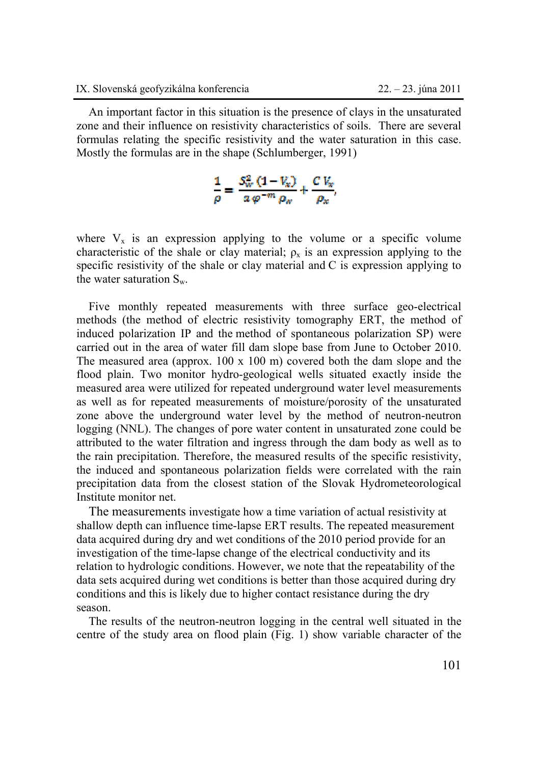An important factor in this situation is the presence of clays in the unsaturated zone and their influence on resistivity characteristics of soils. There are several formulas relating the specific resistivity and the water saturation in this case. Mostly the formulas are in the shape (Schlumberger, 1991)

$$
\frac{1}{\rho} = \frac{S_W^2 (1 - V_w)}{a \varphi^{-m} \rho_w} + \frac{C V_w}{\rho_w}.
$$

where  $V_x$  is an expression applying to the volume or a specific volume characteristic of the shale or clay material;  $\rho_x$  is an expression applying to the specific resistivity of the shale or clay material and C is expression applying to the water saturation  $S_w$ .

Five monthly repeated measurements with three surface geo-electrical methods (the method of electric resistivity tomography ERT, the method of induced polarization IP and the method of spontaneous polarization SP) were carried out in the area of water fill dam slope base from June to October 2010. The measured area (approx. 100 x 100 m) covered both the dam slope and the flood plain. Two monitor hydro-geological wells situated exactly inside the measured area were utilized for repeated underground water level measurements as well as for repeated measurements of moisture/porosity of the unsaturated zone above the underground water level by the method of neutron-neutron logging (NNL). The changes of pore water content in unsaturated zone could be attributed to the water filtration and ingress through the dam body as well as to the rain precipitation. Therefore, the measured results of the specific resistivity, the induced and spontaneous polarization fields were correlated with the rain precipitation data from the closest station of the Slovak Hydrometeorological Institute monitor net.

The measurements investigate how a time variation of actual resistivity at shallow depth can influence time-lapse ERT results. The repeated measurement data acquired during dry and wet conditions of the 2010 period provide for an investigation of the time-lapse change of the electrical conductivity and its relation to hydrologic conditions. However, we note that the repeatability of the data sets acquired during wet conditions is better than those acquired during dry conditions and this is likely due to higher contact resistance during the dry season.

The results of the neutron-neutron logging in the central well situated in the centre of the study area on flood plain (Fig. 1) show variable character of the